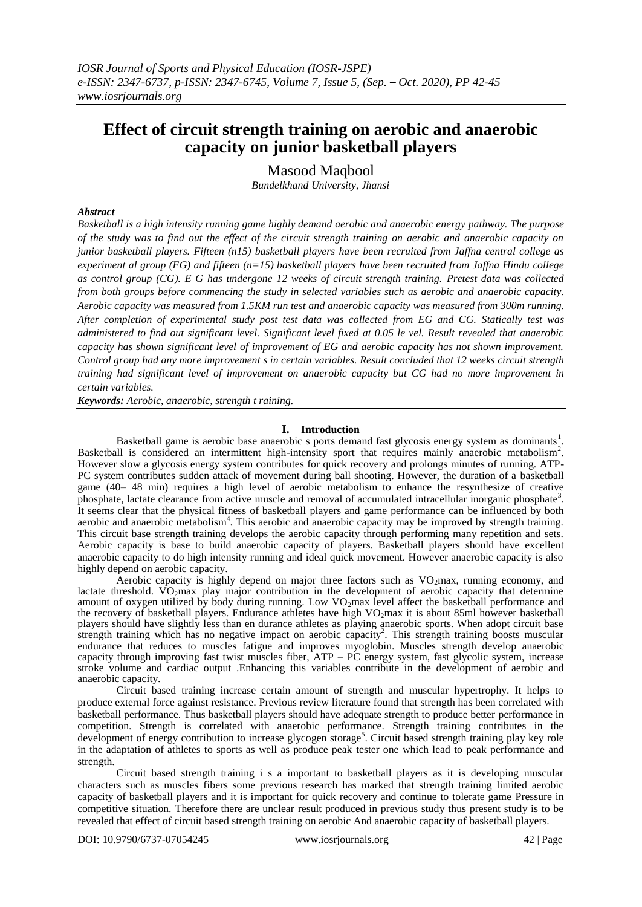# **Effect of circuit strength training on aerobic and anaerobic capacity on junior basketball players**

Masood Maqbool

*Bundelkhand University, Jhansi*

## *Abstract*

*Basketball is a high intensity running game highly demand aerobic and anaerobic energy pathway. The purpose of the study was to find out the effect of the circuit strength training on aerobic and anaerobic capacity on junior basketball players. Fifteen (n15) basketball players have been recruited from Jaffna central college as experiment al group (EG) and fifteen (n=15) basketball players have been recruited from Jaffna Hindu college as control group (CG). E G has undergone 12 weeks of circuit strength training. Pretest data was collected from both groups before commencing the study in selected variables such as aerobic and anaerobic capacity. Aerobic capacity was measured from 1.5KM run test and anaerobic capacity was measured from 300m running. After completion of experimental study post test data was collected from EG and CG. Statically test was administered to find out significant level. Significant level fixed at 0.05 le vel. Result revealed that anaerobic capacity has shown significant level of improvement of EG and aerobic capacity has not shown improvement. Control group had any more improvement s in certain variables. Result concluded that 12 weeks circuit strength training had significant level of improvement on anaerobic capacity but CG had no more improvement in certain variables.*

*Keywords: Aerobic, anaerobic, strength t raining.*

## **I. Introduction**

Basketball game is aerobic base anaerobic s ports demand fast glycosis energy system as dominants<sup>1</sup>. Basketball is considered an intermittent high-intensity sport that requires mainly anaerobic metabolism<sup>2</sup>. However slow a glycosis energy system contributes for quick recovery and prolongs minutes of running. ATP-PC system contributes sudden attack of movement during ball shooting. However, the duration of a basketball game (40– 48 min) requires a high level of aerobic metabolism to enhance the resynthesize of creative phosphate, lactate clearance from active muscle and removal of accumulated intracellular inorganic phosphate<sup>3</sup>. It seems clear that the physical fitness of basketball players and game performance can be influenced by both aerobic and anaerobic metabolism<sup>4</sup>. This aerobic and anaerobic capacity may be improved by strength training. This circuit base strength training develops the aerobic capacity through performing many repetition and sets. Aerobic capacity is base to build anaerobic capacity of players. Basketball players should have excellent anaerobic capacity to do high intensity running and ideal quick movement. However anaerobic capacity is also highly depend on aerobic capacity.

Aerobic capacity is highly depend on major three factors such as  $VO<sub>2</sub>$ max, running economy, and lactate threshold.  $\rm\dot{VO}_{2}max$  play major contribution in the development of aerobic capacity that determine amount of oxygen utilized by body during running. Low VO<sub>2</sub>max level affect the basketball performance and the recovery of basketball players. Endurance athletes have high VO<sub>2</sub>max it is about 85ml however basketball players should have slightly less than en durance athletes as playing anaerobic sports. When adopt circuit base strength training which has no negative impact on aerobic capacity<sup>2</sup>. This strength training boosts muscular endurance that reduces to muscles fatigue and improves myoglobin. Muscles strength develop anaerobic capacity through improving fast twist muscles fiber, ATP – PC energy system, fast glycolic system, increase stroke volume and cardiac output .Enhancing this variables contribute in the development of aerobic and anaerobic capacity.

Circuit based training increase certain amount of strength and muscular hypertrophy. It helps to produce external force against resistance. Previous review literature found that strength has been correlated with basketball performance. Thus basketball players should have adequate strength to produce better performance in competition. Strength is correlated with anaerobic performance. Strength training contributes in the development of energy contribution to increase glycogen storage<sup>5</sup>. Circuit based strength training play key role in the adaptation of athletes to sports as well as produce peak tester one which lead to peak performance and strength.

Circuit based strength training i s a important to basketball players as it is developing muscular characters such as muscles fibers some previous research has marked that strength training limited aerobic capacity of basketball players and it is important for quick recovery and continue to tolerate game Pressure in competitive situation. Therefore there are unclear result produced in previous study thus present study is to be revealed that effect of circuit based strength training on aerobic And anaerobic capacity of basketball players.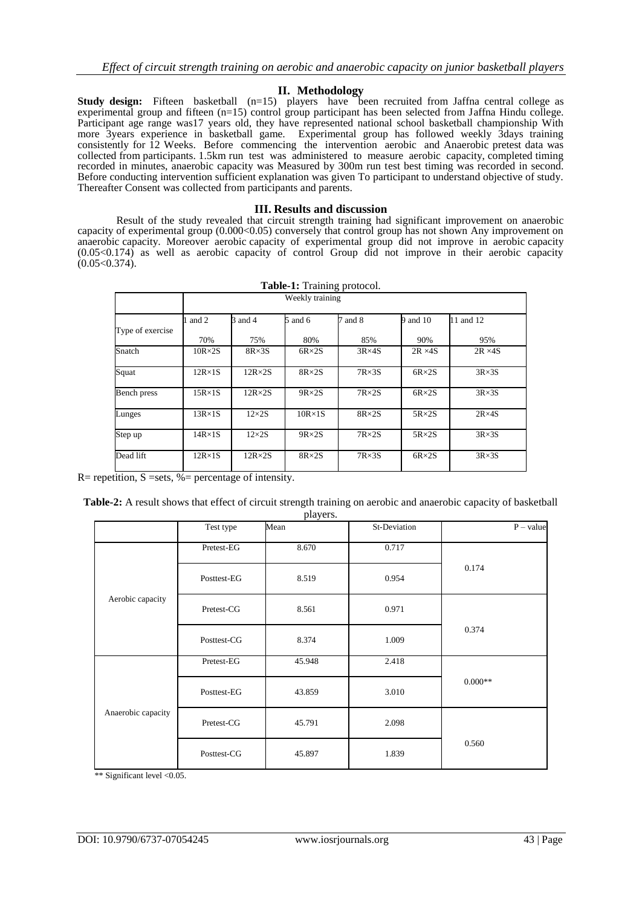#### **II. Methodology**

**Study design:** Fifteen basketball (n=15) players have been recruited from Jaffna central college as experimental group and fifteen (n=15) control group participant has been selected from Jaffna Hindu college. Participant age range was17 years old, they have represented national school basketball championship With more 3years experience in basketball game. Experimental group has followed weekly 3days training consistently for 12 Weeks. Before commencing the intervention aerobic and Anaerobic pretest data was collected from participants. 1.5km run test was administered to measure aerobic capacity, completed timing recorded in minutes, anaerobic capacity was Measured by 300m run test best timing was recorded in second. Before conducting intervention sufficient explanation was given To participant to understand objective of study. Thereafter Consent was collected from participants and parents.

#### **III. Results and discussion**

Result of the study revealed that circuit strength training had significant improvement on anaerobic capacity of experimental group (0.000<0.05) conversely that control group has not shown Any improvement on anaerobic capacity. Moreover aerobic capacity of experimental group did not improve in aerobic capacity (0.05<0.174) as well as aerobic capacity of control Group did not improve in their aerobic capacity  $(0.05<0.374)$ .

| Table-1: Training protocol. |                 |                 |                 |                |                |                |  |  |
|-----------------------------|-----------------|-----------------|-----------------|----------------|----------------|----------------|--|--|
|                             | Weekly training |                 |                 |                |                |                |  |  |
|                             | and 2           | 3 and 4         | $5$ and $6$     | and 8          | 9 and 10       | 11 and 12      |  |  |
| Type of exercise            | 70%             | 75%             | 80%             | 85%            | 90%            | 95%            |  |  |
| Snatch                      | $10R \times 2S$ | $8R \times 3S$  | $6R \times 2S$  | $3R \times 4S$ | $2R \times 4S$ | $2R \times 4S$ |  |  |
| Squat                       | $12R \times 1S$ | $12R \times 2S$ | $8R \times 2S$  | $7R \times 3S$ | $6R \times 2S$ | $3R \times 3S$ |  |  |
| Bench press                 | $15R \times 1S$ | $12R \times 2S$ | $9R \times 2S$  | $7R \times 2S$ | $6R \times 2S$ | $3R \times 3S$ |  |  |
| Lunges                      | $13R \times 1S$ | $12\times 2S$   | $10R \times 1S$ | $8R \times 2S$ | $5R \times 2S$ | $2R\times 4S$  |  |  |
| Step up                     | $14R \times 1S$ | $12\times 2S$   | $9R \times 2S$  | $7R \times 2S$ | $5R \times 2S$ | $3R \times 3S$ |  |  |
| Dead lift                   | $12R \times 1S$ | $12R \times 2S$ | $8R \times 2S$  | $7R \times 3S$ | $6R \times 2S$ | $3R \times 3S$ |  |  |

 $R=$  repetition,  $S =$ sets, %= percentage of intensity.

| Table-2: A result shows that effect of circuit strength training on aerobic and anaerobic capacity of basketball |
|------------------------------------------------------------------------------------------------------------------|
| players.                                                                                                         |

|                    | Test type   | P <sub>1</sub><br>Mean | St-Deviation | $P - value$ |  |
|--------------------|-------------|------------------------|--------------|-------------|--|
|                    |             |                        |              |             |  |
| Aerobic capacity   | Pretest-EG  | 8.670                  | 0.717        | 0.174       |  |
|                    | Posttest-EG | 8.519                  | 0.954        |             |  |
|                    | Pretest-CG  | 8.561                  | 0.971        | 0.374       |  |
|                    | Posttest-CG | 8.374                  | 1.009        |             |  |
|                    | Pretest-EG  | 45.948                 | 2.418        | $0.000**$   |  |
|                    | Posttest-EG | 43.859                 | 3.010        |             |  |
| Anaerobic capacity | Pretest-CG  | 45.791                 | 2.098        |             |  |
|                    | Posttest-CG | 45.897                 | 1.839        | 0.560       |  |

\*\* Significant level <0.05.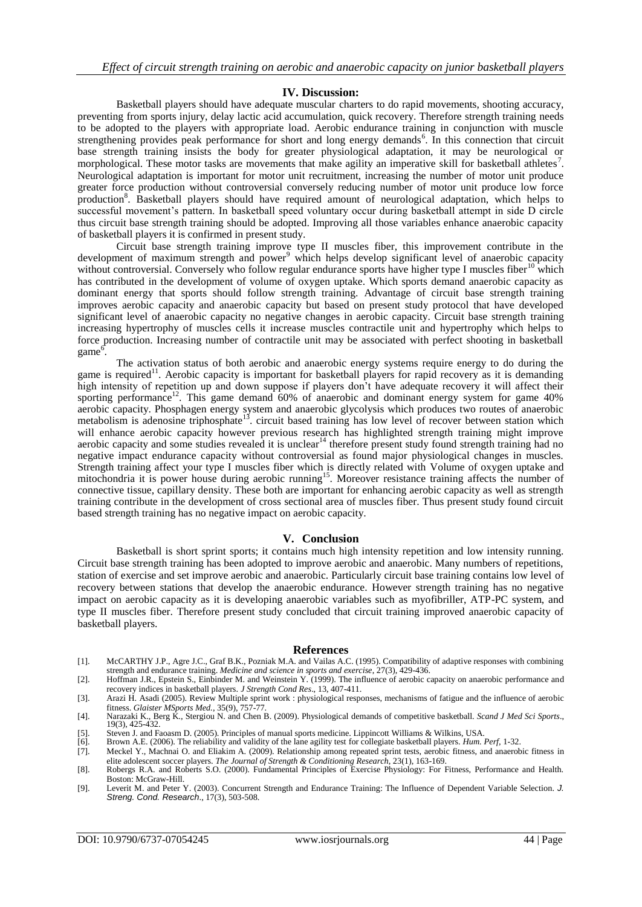### **IV. Discussion:**

Basketball players should have adequate muscular charters to do rapid movements, shooting accuracy, preventing from sports injury, delay lactic acid accumulation, quick recovery. Therefore strength training needs to be adopted to the players with appropriate load. Aerobic endurance training in conjunction with muscle strengthening provides peak performance for short and long energy demands<sup>6</sup>. In this connection that circuit base strength training insists the body for greater physiological adaptation, it may be neurological or morphological. These motor tasks are movements that make agility an imperative skill for basketball athletes<sup>7</sup>. Neurological adaptation is important for motor unit recruitment, increasing the number of motor unit produce greater force production without controversial conversely reducing number of motor unit produce low force production<sup>8</sup>. Basketball players should have required amount of neurological adaptation, which helps to successful movement's pattern. In basketball speed voluntary occur during basketball attempt in side D circle thus circuit base strength training should be adopted. Improving all those variables enhance anaerobic capacity of basketball players it is confirmed in present study.

Circuit base strength training improve type II muscles fiber, this improvement contribute in the development of maximum strength and power<sup>9</sup> which helps develop significant level of anaerobic capacity without controversial. Conversely who follow regular endurance sports have higher type I muscles fiber<sup>10</sup> which has contributed in the development of volume of oxygen uptake. Which sports demand anaerobic capacity as dominant energy that sports should follow strength training. Advantage of circuit base strength training improves aerobic capacity and anaerobic capacity but based on present study protocol that have developed significant level of anaerobic capacity no negative changes in aerobic capacity. Circuit base strength training increasing hypertrophy of muscles cells it increase muscles contractile unit and hypertrophy which helps to force production. Increasing number of contractile unit may be associated with perfect shooting in basketball game<sup>6</sup>.

The activation status of both aerobic and anaerobic energy systems require energy to do during the game is required<sup>11</sup>. Aerobic capacity is important for basketball players for rapid recovery as it is demanding high intensity of repetition up and down suppose if players don't have adequate recovery it will affect their sporting performance<sup>12</sup>. This game demand 60% of anaerobic and dominant energy system for game 40% aerobic capacity. Phosphagen energy system and anaerobic glycolysis which produces two routes of anaerobic metabolism is adenosine triphosphate<sup>13</sup>. circuit based training has low level of recover between station which will enhance aerobic capacity however previous research has highlighted strength training might improve aerobic capacity and some studies revealed it is unclear<sup>14</sup> therefore present study found strength training had no negative impact endurance capacity without controversial as found major physiological changes in muscles. Strength training affect your type I muscles fiber which is directly related with Volume of oxygen uptake and mitochondria it is power house during aerobic running<sup>15</sup>. Moreover resistance training affects the number of connective tissue, capillary density. These both are important for enhancing aerobic capacity as well as strength training contribute in the development of cross sectional area of muscles fiber. Thus present study found circuit based strength training has no negative impact on aerobic capacity.

#### **V. Conclusion**

Basketball is short sprint sports; it contains much high intensity repetition and low intensity running. Circuit base strength training has been adopted to improve aerobic and anaerobic. Many numbers of repetitions, station of exercise and set improve aerobic and anaerobic. Particularly circuit base training contains low level of recovery between stations that develop the anaerobic endurance. However strength training has no negative impact on aerobic capacity as it is developing anaerobic variables such as myofibriller, ATP-PC system, and type II muscles fiber. Therefore present study concluded that circuit training improved anaerobic capacity of basketball players.

#### **References**

- [1]. McCARTHY J.P., Agre J.C., Graf B.K., Pozniak M.A. and Vailas A.C. (1995). Compatibility of adaptive responses with combining strength and endurance training. *Medicine and science in sports and exercise*, 27(3), 429-436.
- [2]. Hoffman J.R., Epstein S., Einbinder M. and Weinstein Y. (1999). The influence of aerobic capacity on anaerobic performance and recovery indices in basketball players. *J Strength Cond Res*., 13, 407-411.
- [3]. Arazi H. Asadi (2005). Review Multiple sprint work : physiological responses, mechanisms of fatigue and the influence of aerobic fitness. *Glaister MSports Med.*, 35(9), 757-77. [4]. Narazaki K., Berg K., Stergiou N. and Chen B. (2009). Physiological demands of competitive basketball. *Scand J Med Sci Sports*.,
- 19(3), 425-432.
- [5]. Steven J. and Faoasm D. (2005). Principles of manual sports medicine. Lippincott Williams & Wilkins, USA. [6]. Brown A.E. (2006). The reliability and validity of the lane agility test for collegiate basketball players
- [6]. Brown A.E. (2006). The reliability and validity of the lane agility test for collegiate basketball players. *Hum. Perf,* 1-32.
- [7]. Meckel Y., Machnai O. and Eliakim A. (2009). Relationship among repeated sprint tests, aerobic fitness, and anaerobic fitness in elite adolescent soccer players. *The Journal of Strength & Conditioning Research*, 23(1), 163-169. [8]. Robergs R.A. and Roberts S.O. (2000). Fundamental Principles of Exercise Physiology: For Fitness, Performance and Health.
- Boston: McGraw-Hill. [9]. Leverit M. and Peter Y. (2003). Concurrent Strength and Endurance Training: The Influence of Dependent Variable Selection. *J. Streng. Cond. Research*., 17(3), 503-508.